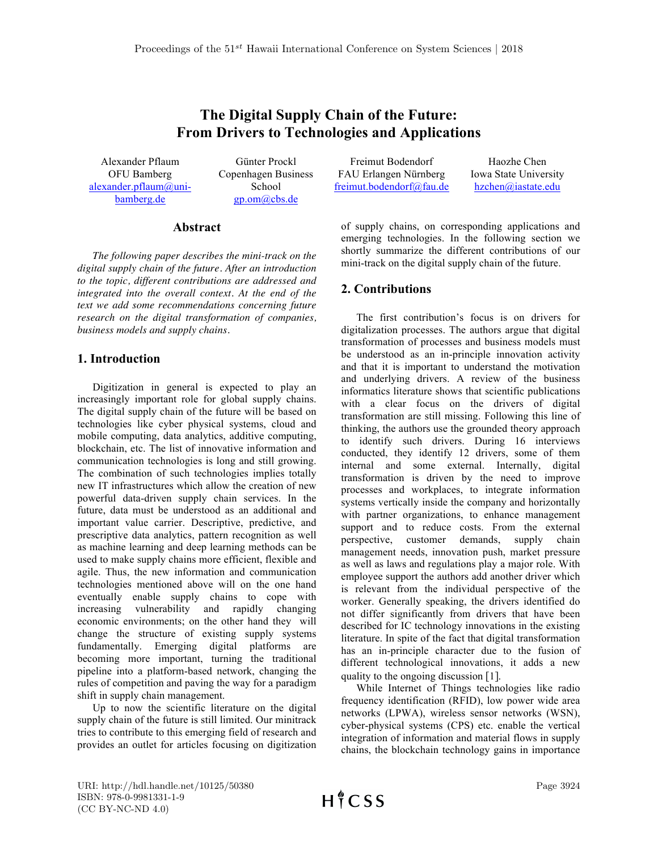# **The Digital Supply Chain of the Future: From Drivers to Technologies and Applications**

Alexander Pflaum OFU Bamberg alexander.pflaum@unibamberg.de

Günter Prockl Copenhagen Business School gp.om@cbs.de

#### **Abstract**

*The following paper describes the mini-track on the digital supply chain of the future. After an introduction to the topic, different contributions are addressed and integrated into the overall context. At the end of the text we add some recommendations concerning future research on the digital transformation of companies, business models and supply chains.*

### **1. Introduction**

Digitization in general is expected to play an increasingly important role for global supply chains. The digital supply chain of the future will be based on technologies like cyber physical systems, cloud and mobile computing, data analytics, additive computing, blockchain, etc. The list of innovative information and communication technologies is long and still growing. The combination of such technologies implies totally new IT infrastructures which allow the creation of new powerful data-driven supply chain services. In the future, data must be understood as an additional and important value carrier. Descriptive, predictive, and prescriptive data analytics, pattern recognition as well as machine learning and deep learning methods can be used to make supply chains more efficient, flexible and agile. Thus, the new information and communication technologies mentioned above will on the one hand eventually enable supply chains to cope with increasing vulnerability and rapidly changing economic environments; on the other hand they will change the structure of existing supply systems fundamentally. Emerging digital platforms are becoming more important, turning the traditional pipeline into a platform-based network, changing the rules of competition and paving the way for a paradigm shift in supply chain management.

Up to now the scientific literature on the digital supply chain of the future is still limited. Our minitrack tries to contribute to this emerging field of research and provides an outlet for articles focusing on digitization

Freimut Bodendorf FAU Erlangen Nürnberg freimut.bodendorf@fau.de

Haozhe Chen Iowa State University hzchen@iastate.edu

of supply chains, on corresponding applications and emerging technologies. In the following section we shortly summarize the different contributions of our mini-track on the digital supply chain of the future.

## **2. Contributions**

The first contribution's focus is on drivers for digitalization processes. The authors argue that digital transformation of processes and business models must be understood as an in-principle innovation activity and that it is important to understand the motivation and underlying drivers. A review of the business informatics literature shows that scientific publications with a clear focus on the drivers of digital transformation are still missing. Following this line of thinking, the authors use the grounded theory approach to identify such drivers. During 16 interviews conducted, they identify 12 drivers, some of them internal and some external. Internally, digital transformation is driven by the need to improve processes and workplaces, to integrate information systems vertically inside the company and horizontally with partner organizations, to enhance management support and to reduce costs. From the external perspective, customer demands, supply chain management needs, innovation push, market pressure as well as laws and regulations play a major role. With employee support the authors add another driver which is relevant from the individual perspective of the worker. Generally speaking, the drivers identified do not differ significantly from drivers that have been described for IC technology innovations in the existing literature. In spite of the fact that digital transformation has an in-principle character due to the fusion of different technological innovations, it adds a new quality to the ongoing discussion [1].

While Internet of Things technologies like radio frequency identification (RFID), low power wide area networks (LPWA), wireless sensor networks (WSN), cyber-physical systems (CPS) etc. enable the vertical integration of information and material flows in supply chains, the blockchain technology gains in importance

URI: http://hdl.handle.net/10125/50380 ISBN: 978-0-9981331-1-9 (CC BY-NC-ND 4.0)